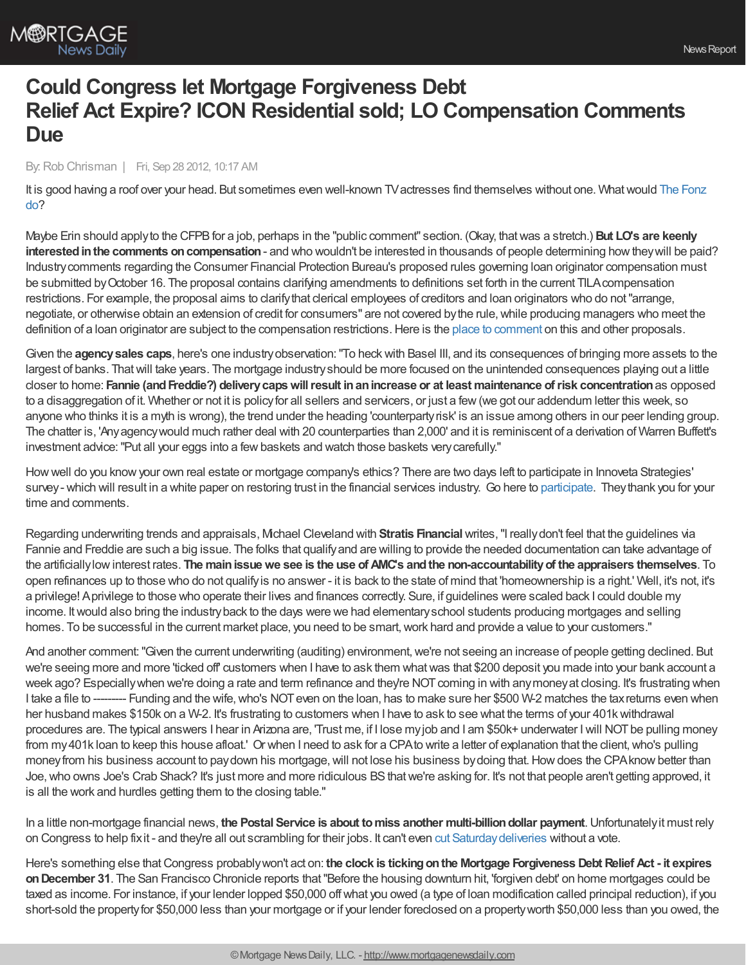

## **Could Congress let Mortgage Forgiveness Debt Relief Act Expire? ICON Residential sold; LO Compensation Comments Due**

## By:Rob Chrisman | Fri, Sep 28 2012, 10:17 AM

It is good having a roof over your head. But sometimes even well-known TV actresses find themselves without one. What would The Fonz do?

Maybe Erin should applyto the CFPBfor a job, perhaps in the "public comment" section. (Okay, thatwas a stretch.) **But LO's are keenly interested in the comments on compensation** - and who wouldn't be interested in thousands of people determining how they will be paid? Industrycomments regarding the Consumer Financial Protection Bureau's proposed rules governing loan originator compensation must be submitted byOctober 16. The proposal contains clarifying amendments to definitions set forth in the current TILAcompensation restrictions. For example, the proposal aims to clarifythat clerical employees of creditors and loan originators who do not"arrange, negotiate, or otherwise obtain an extension of credit for consumers" are not covered bythe rule,while producing managers who meet the definition of a loan originator are subject to the compensation restrictions. Here is the place to [comment](http://www.consumerfinance.gov/notice-and-comment/) on this and other proposals.

Given the **agencysales caps**, here's one industryobservation:"To heckwith Basel III, and its consequences of bringing more assets to the largest of banks. Thatwill take years. The mortgage industryshould be more focused on the unintended consequences playing out a little closer to home: **Fannie (andFreddie?) deliverycapswillresult inanincrease or at least maintenance ofrisk concentration**as opposed to a disaggregation of it. Whether or not it is policy for all sellers and servicers, or just a few (we got our addendum letter this week, so anyone who thinks it is a myth is wrong), the trend under the heading 'counterpartyrisk' is an issue among others in our peer lending group. The chatter is, 'Anyagencywould much rather deal with 20 counterparties than 2,000' and it is reminiscent of a derivation of Warren Buffett's investment advice: "Put all your eggs into a few baskets and watch those baskets very carefully."

Howwell do you knowyour own real estate or mortgage company's ethics? There are two days left to participate in Innoveta Strategies' survey - which will result in a white paper on restoring trust in the financial services industry. Go here to [participate.](http://survey.constantcontact.com/survey/a07e695kp2jh5sfclwa/start) They thank you for your time and comments.

Regarding underwriting trends and appraisals, Michael Cleveland with **Stratis Financial**writes,"I reallydon't feel that the guidelines via Fannie and Freddie are such a big issue. The folks that qualifyand are willing to provide the needed documentation can take advantage of the artificiallylowinterest rates. **The mainissuewe see is the use of AMC's andthe non-accountabilityof the appraisers themselves**. To open refinances up to those who do not qualifyis no answer - it is back to the state of mind that 'homeownership is a right.' Well, it's not, it's a privilege! Aprivilege to those who operate their lives and finances correctly. Sure, if guidelines were scaled back I could double my income. Itwould also bring the industryback to the days were we had elementaryschool students producing mortgages and selling homes. To be successful in the current market place, you need to be smart, work hard and provide a value to your customers."

And another comment: "Given the current underwriting (auditing) environment, we're not seeing an increase of people getting declined. But we're seeing more and more 'ticked off' customers when I have to ask them what was that \$200 deposit you made into your bank account a week ago? Especially when we're doing a rate and term refinance and they're NOT coming in with any money at closing. It's frustrating when I take a file to --------- Funding and the wife, who's NOT even on the loan, has to make sure her \$500 W-2 matches the tax returns even when her husband makes \$150k on a W-2. It's frustrating to customers when I have to ask to see what the terms of your 401k withdrawal procedures are. The typical answers I hear in Arizona are, 'Trust me, if I lose myjob and I am \$50k+ underwater Iwill NOTbe pulling money from my 401k loan to keep this house afloat.' Or when I need to ask for a CPA to write a letter of explanation that the client, who's pulling money from his business account to pay down his mortgage, will not lose his business by doing that. How does the CPA know better than Joe, who owns Joe's Crab Shack? It's just more and more ridiculous BS that we're asking for. It's not that people aren't getting approved, it is all the work and hurdles getting them to the closing table."

In a little non-mortgage financial news, **the Postal Service is about tomiss another multi-billiondollar payment**.Unfortunatelyit must rely on Congress to help fixit - and they're all out scrambling for their jobs. It can't even cut [Saturdaydeliveries](http://www.businessweek.com/ap/2012-09-28/us-postal-service-to-default-on-second-5b-payment) without a vote.

Here's something else thatCongress probablywon't act on: **the clock is tickingonthe Mortgage Forgiveness Debt Relief Act - it expires onDecember 31**. The San Francisco Chronicle reports that"Before the housing downturn hit, 'forgiven debt' on home mortgages could be taxed as income. For instance, if your lender lopped \$50,000 offwhat you owed (a type of loan modification called principal reduction), if you short-sold the propertyfor \$50,000 less than your mortgage or if your lender foreclosed on a propertyworth \$50,000 less than you owed, the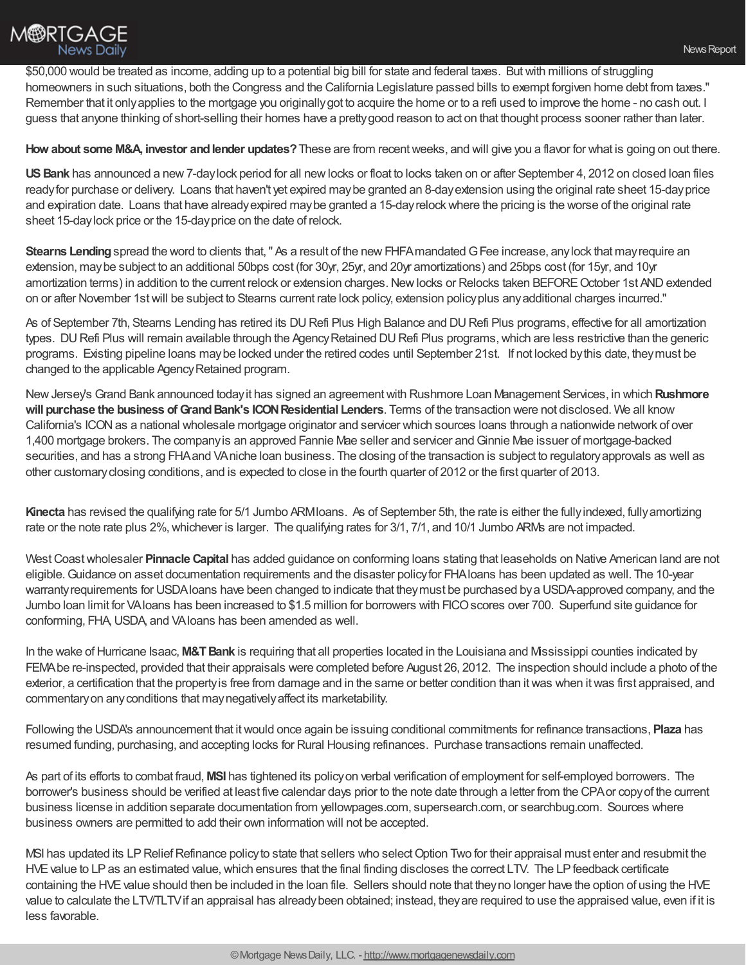\$50,000 would be treated as income, adding up to a potential big bill for state and federal taxes. Butwith millions of struggling

homeowners in such situations, both the Congress and the California Legislature passed bills to exempt forgiven home debt from taxes." Remember that it onlyapplies to the mortgage you originallygot to acquire the home or to a refi used to improve the home - no cash out. I guess that anyone thinking of short-selling their homes have a prettygood reason to act on that thought process sooner rather than later.

**How about some M&A, investor andlender updates?**These are from recentweeks, and will give you a flavor for what is going on out there.

**USBank** has announced a new7-daylock period for all newlocks or float to locks taken on or after September 4, 2012 on closed loan files readyfor purchase or delivery. Loans that haven't yet expired maybe granted an 8-dayextension using the original rate sheet 15-dayprice and expiration date. Loans that have alreadyexpired maybe granted a 15-dayrelockwhere the pricing is the worse of the original rate sheet 15-daylock price or the 15-dayprice on the date of relock.

**Stearns Lending** spread the word to clients that, " As a result of the new FHFA mandated G Fee increase, any lock that may require an extension, maybe subject to an additional 50bps cost (for 30yr, 25yr, and 20yr amortizations) and 25bps cost (for 15yr, and 10yr amortization terms) in addition to the current relock or extension charges. New locks or Relocks taken BEFORE October 1st AND extended on or after November 1stwill be subject to Stearns current rate lock policy, extension policyplus anyadditional charges incurred."

As of September 7th, Stearns Lending has retired its DU Refi Plus High Balance and DU Refi Plus programs, effective for all amortization types. DU Refi Plus will remain available through the Agency Retained DU Refi Plus programs, which are less restrictive than the generic programs. Existing pipeline loans maybe locked under the retired codes until September 21st. If not locked bythis date, theymust be changed to the applicable Agency Retained program.

NewJersey's Grand Bank announced todayit has signed an agreementwith Rushmore Loan Management Services, in which **Rushmore will purchase the business ofGrandBank's ICONResidential Lenders**. Terms of the transaction were not disclosed. We all know California's ICON as a national wholesale mortgage originator and servicer which sources loans through a nationwide network of over 1,400 mortgage brokers. The companyis an approved Fannie Mae seller and servicer andGinnie Mae issuer of mortgage-backed securities, and has a strong FHAand VAniche loan business. The closing of the transaction is subject to regulatoryapprovals as well as other customaryclosing conditions, and is expected to close in the fourth quarter of 2012 or the first quarter of 2013.

**Kinecta** has revised the qualifying rate for 5/1 Jumbo ARMIoans. As of September 5th, the rate is either the fully indexed, fully amortizing rate or the note rate plus 2%, whichever is larger. The qualifying rates for 3/1, 7/1, and 10/1 Jumbo ARMs are not impacted.

West Coast wholesaler **Pinnacle Capital** has added guidance on conforming loans stating that leaseholds on Native American land are not eligible.Guidance on asset documentation requirements and the disaster policyfor FHAloans has been updated as well. The 10-year warrantyrequirements for USDAloans have been changed to indicate that theymust be purchased bya USDA-approved company, and the Jumbo loan limit for VAloans has been increased to \$1.5 million for borrowers with FICOscores over 700. Superfund site guidance for conforming, FHA,USDA, and VAloans has been amended as well.

In the wake of Hurricane Isaac, **M&T Bank** is requiring that all properties located in the Louisiana and Mississippi counties indicated by FEMAbe re-inspected, provided that their appraisals were completed before August 26, 2012. The inspection should include a photo of the exterior, a certification that the propertyis free from damage and in the same or better condition than itwas when itwas first appraised, and commentaryon anyconditions that maynegativelyaffect its marketability.

Following the USDA's announcement that itwould once again be issuing conditional commitments for refinance transactions, **Plaza** has resumed funding, purchasing, and accepting locks for Rural Housing refinances. Purchase transactions remain unaffected.

As part of its efforts to combat fraud, **MSI** has tightened its policyon verbal verification of employment for self-employed borrowers. The borrower's business should be verified at least five calendar days prior to the note date through a letter from the CPAor copyof the current business license in addition separate documentation from yellowpages.com, supersearch.com, or searchbug.com. Sources where business owners are permitted to add their own information will not be accepted.

MSI has updated its LP Relief Refinance policy to state that sellers who select Option Two for their appraisal must enter and resubmit the HVE value to LP as an estimated value, which ensures that the final finding discloses the correct LTV. The LP feedback certificate containing the HVE value should then be included in the loan file. Sellers should note that they no longer have the option of using the HVE value to calculate the LTV/TLTVif an appraisal has alreadybeen obtained; instead, theyare required to use the appraised value, even if it is less favorable.